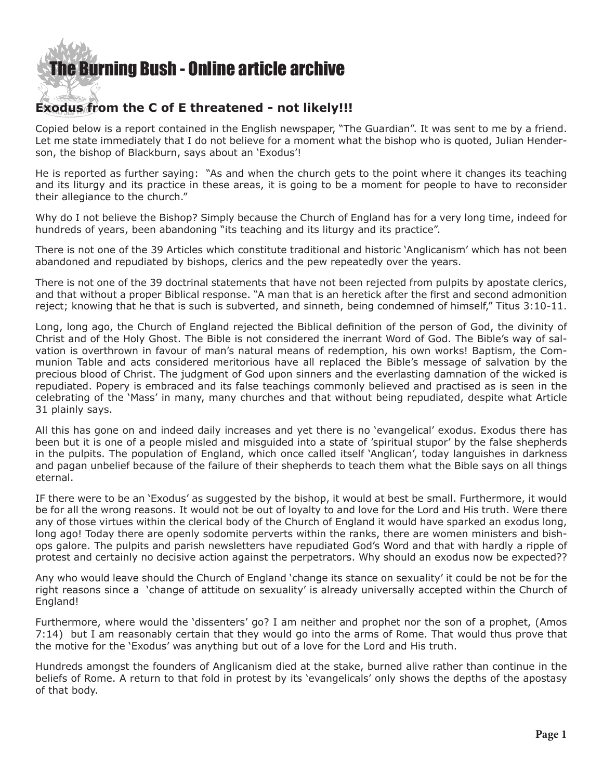

## **Exodus from the C of E threatened - not likely!!!**

Copied below is a report contained in the English newspaper, "The Guardian". It was sent to me by a friend. Let me state immediately that I do not believe for a moment what the bishop who is quoted, Julian Henderson, the bishop of Blackburn, says about an 'Exodus'!

He is reported as further saying: "As and when the church gets to the point where it changes its teaching and its liturgy and its practice in these areas, it is going to be a moment for people to have to reconsider their allegiance to the church."

Why do I not believe the Bishop? Simply because the Church of England has for a very long time, indeed for hundreds of years, been abandoning "its teaching and its liturgy and its practice".

There is not one of the 39 Articles which constitute traditional and historic 'Anglicanism' which has not been abandoned and repudiated by bishops, clerics and the pew repeatedly over the years.

There is not one of the 39 doctrinal statements that have not been rejected from pulpits by apostate clerics, and that without a proper Biblical response. "A man that is an heretick after the first and second admonition reject; knowing that he that is such is subverted, and sinneth, being condemned of himself," Titus 3:10-11.

Long, long ago, the Church of England rejected the Biblical definition of the person of God, the divinity of Christ and of the Holy Ghost. The Bible is not considered the inerrant Word of God. The Bible's way of salvation is overthrown in favour of man's natural means of redemption, his own works! Baptism, the Communion Table and acts considered meritorious have all replaced the Bible's message of salvation by the precious blood of Christ. The judgment of God upon sinners and the everlasting damnation of the wicked is repudiated. Popery is embraced and its false teachings commonly believed and practised as is seen in the celebrating of the 'Mass' in many, many churches and that without being repudiated, despite what Article 31 plainly says.

All this has gone on and indeed daily increases and yet there is no 'evangelical' exodus. Exodus there has been but it is one of a people misled and misguided into a state of 'spiritual stupor' by the false shepherds in the pulpits. The population of England, which once called itself 'Anglican', today languishes in darkness and pagan unbelief because of the failure of their shepherds to teach them what the Bible says on all things eternal.

IF there were to be an 'Exodus' as suggested by the bishop, it would at best be small. Furthermore, it would be for all the wrong reasons. It would not be out of loyalty to and love for the Lord and His truth. Were there any of those virtues within the clerical body of the Church of England it would have sparked an exodus long, long ago! Today there are openly sodomite perverts within the ranks, there are women ministers and bishops galore. The pulpits and parish newsletters have repudiated God's Word and that with hardly a ripple of protest and certainly no decisive action against the perpetrators. Why should an exodus now be expected??

Any who would leave should the Church of England 'change its stance on sexuality' it could be not be for the right reasons since a 'change of attitude on sexuality' is already universally accepted within the Church of England!

Furthermore, where would the 'dissenters' go? I am neither and prophet nor the son of a prophet, (Amos 7:14) but I am reasonably certain that they would go into the arms of Rome. That would thus prove that the motive for the 'Exodus' was anything but out of a love for the Lord and His truth.

Hundreds amongst the founders of Anglicanism died at the stake, burned alive rather than continue in the beliefs of Rome. A return to that fold in protest by its 'evangelicals' only shows the depths of the apostasy of that body.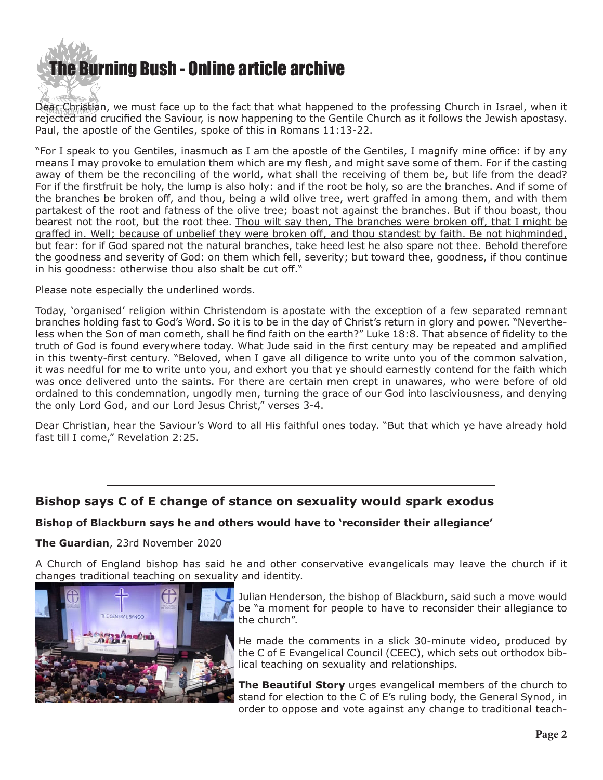

Dear Christian, we must face up to the fact that what happened to the professing Church in Israel, when it rejected and crucified the Saviour, is now happening to the Gentile Church as it follows the Jewish apostasy. Paul, the apostle of the Gentiles, spoke of this in Romans 11:13-22.

"For I speak to you Gentiles, inasmuch as I am the apostle of the Gentiles, I magnify mine office: if by any means I may provoke to emulation them which are my flesh, and might save some of them. For if the casting away of them be the reconciling of the world, what shall the receiving of them be, but life from the dead? For if the firstfruit be holy, the lump is also holy: and if the root be holy, so are the branches. And if some of the branches be broken off, and thou, being a wild olive tree, wert graffed in among them, and with them partakest of the root and fatness of the olive tree; boast not against the branches. But if thou boast, thou bearest not the root, but the root thee. Thou wilt say then, The branches were broken off, that I might be graffed in. Well; because of unbelief they were broken off, and thou standest by faith. Be not highminded, but fear: for if God spared not the natural branches, take heed lest he also spare not thee. Behold therefore the goodness and severity of God: on them which fell, severity; but toward thee, goodness, if thou continue in his goodness: otherwise thou also shalt be cut off."

Please note especially the underlined words.

Today, 'organised' religion within Christendom is apostate with the exception of a few separated remnant branches holding fast to God's Word. So it is to be in the day of Christ's return in glory and power. "Nevertheless when the Son of man cometh, shall he find faith on the earth?" Luke 18:8. That absence of fidelity to the truth of God is found everywhere today. What Jude said in the first century may be repeated and amplified in this twenty-first century. "Beloved, when I gave all diligence to write unto you of the common salvation, it was needful for me to write unto you, and exhort you that ye should earnestly contend for the faith which was once delivered unto the saints. For there are certain men crept in unawares, who were before of old ordained to this condemnation, ungodly men, turning the grace of our God into lasciviousness, and denying the only Lord God, and our Lord Jesus Christ," verses 3-4.

Dear Christian, hear the Saviour's Word to all His faithful ones today. "But that which ye have already hold fast till I come," Revelation 2:25.

## **Bishop says C of E change of stance on sexuality would spark exodus**

## **Bishop of Blackburn says he and others would have to 'reconsider their allegiance'**

## **[The Guardian](https://www.theguardian.com/world/2020/nov/23/bishop-says-c-of-e-change-of-stance-on-sexuality-would-spark-exodus)**, 23rd November 2020

A Church of England bishop has said he and other conservative evangelicals may leave the church if it changes traditional teaching on sexuality and identity.



Julian Henderson, the bishop of Blackburn, said such a move would be "a moment for people to have to reconsider their allegiance to the church".

He made the comments in a slick 30-minute video, produced by the C of E Evangelical Council (CEEC), which sets out orthodox biblical teaching on sexuality and relationships.

**[The Beautiful Story](https://www.youtube.com/watch?v=VI8bb65vOiE)** urges evangelical members of the church to stand for election to the C of E's ruling body, the General Synod, in order to oppose and vote against any change to traditional teach-